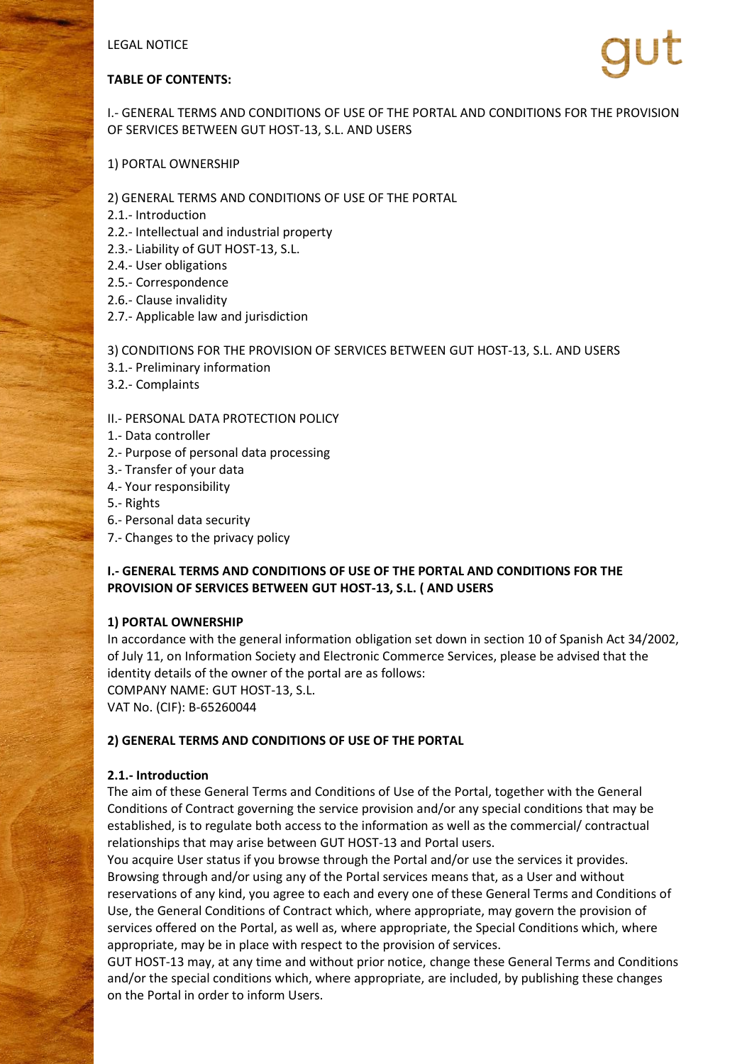### LEGAL NOTICE



#### **TABLE OF CONTENTS:**

I.- GENERAL TERMS AND CONDITIONS OF USE OF THE PORTAL AND CONDITIONS FOR THE PROVISION OF SERVICES BETWEEN GUT HOST-13, S.L. AND USERS

1) PORTAL OWNERSHIP

2) GENERAL TERMS AND CONDITIONS OF USE OF THE PORTAL

- 2.1.- Introduction
- 2.2.- Intellectual and industrial property
- 2.3.- Liability of GUT HOST-13, S.L.
- 2.4.- User obligations
- 2.5.- Correspondence
- 2.6.- Clause invalidity
- 2.7.- Applicable law and jurisdiction

3) CONDITIONS FOR THE PROVISION OF SERVICES BETWEEN GUT HOST-13, S.L. AND USERS

- 3.1.- Preliminary information
- 3.2.- Complaints

### II.- PERSONAL DATA PROTECTION POLICY

- 1.- Data controller
- 2.- Purpose of personal data processing
- 3.- Transfer of your data
- 4.- Your responsibility
- 5.- Rights
- 6.- Personal data security
- 7.- Changes to the privacy policy

## **I.- GENERAL TERMS AND CONDITIONS OF USE OF THE PORTAL AND CONDITIONS FOR THE PROVISION OF SERVICES BETWEEN GUT HOST-13, S.L. ( AND USERS**

### **1) PORTAL OWNERSHIP**

In accordance with the general information obligation set down in section 10 of Spanish Act 34/2002, of July 11, on Information Society and Electronic Commerce Services, please be advised that the identity details of the owner of the portal are as follows: COMPANY NAME: GUT HOST-13, S.L.

VAT No. (CIF): B-65260044

## **2) GENERAL TERMS AND CONDITIONS OF USE OF THE PORTAL**

### **2.1.- Introduction**

The aim of these General Terms and Conditions of Use of the Portal, together with the General Conditions of Contract governing the service provision and/or any special conditions that may be established, is to regulate both access to the information as well as the commercial/ contractual relationships that may arise between GUT HOST-13 and Portal users.

You acquire User status if you browse through the Portal and/or use the services it provides. Browsing through and/or using any of the Portal services means that, as a User and without reservations of any kind, you agree to each and every one of these General Terms and Conditions of Use, the General Conditions of Contract which, where appropriate, may govern the provision of services offered on the Portal, as well as, where appropriate, the Special Conditions which, where appropriate, may be in place with respect to the provision of services.

GUT HOST-13 may, at any time and without prior notice, change these General Terms and Conditions and/or the special conditions which, where appropriate, are included, by publishing these changes on the Portal in order to inform Users.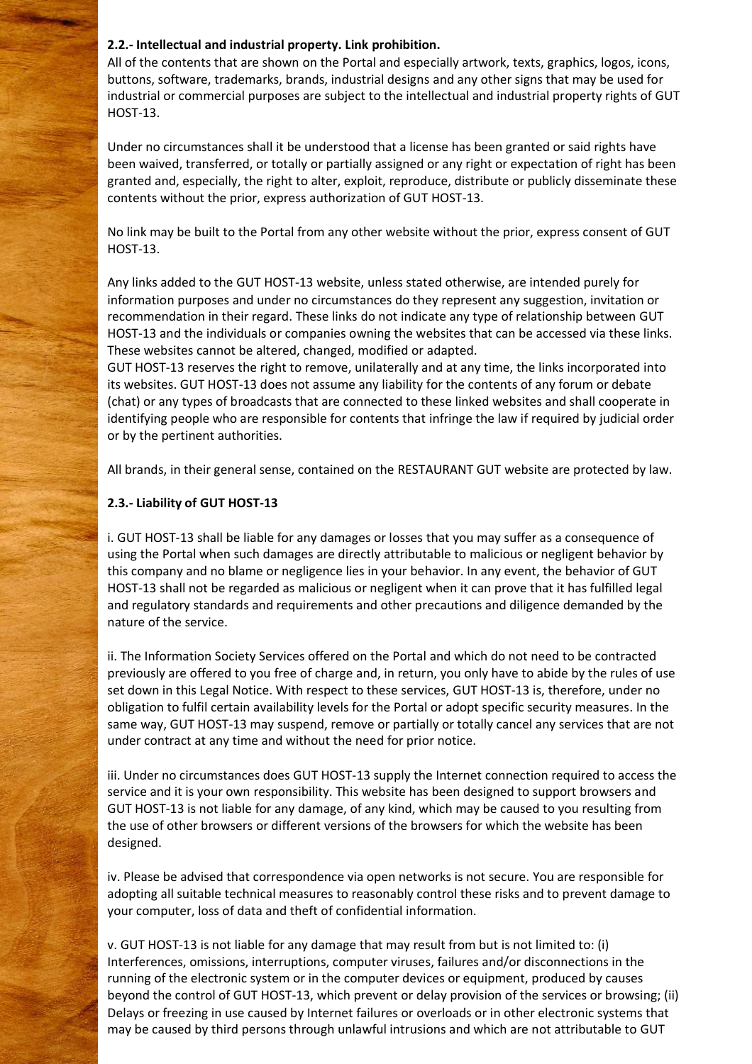## **2.2.- Intellectual and industrial property. Link prohibition.**

All of the contents that are shown on the Portal and especially artwork, texts, graphics, logos, icons, buttons, software, trademarks, brands, industrial designs and any other signs that may be used for industrial or commercial purposes are subject to the intellectual and industrial property rights of GUT HOST-13.

Under no circumstances shall it be understood that a license has been granted or said rights have been waived, transferred, or totally or partially assigned or any right or expectation of right has been granted and, especially, the right to alter, exploit, reproduce, distribute or publicly disseminate these contents without the prior, express authorization of GUT HOST-13.

No link may be built to the Portal from any other website without the prior, express consent of GUT HOST-13.

Any links added to the GUT HOST-13 website, unless stated otherwise, are intended purely for information purposes and under no circumstances do they represent any suggestion, invitation or recommendation in their regard. These links do not indicate any type of relationship between GUT HOST-13 and the individuals or companies owning the websites that can be accessed via these links. These websites cannot be altered, changed, modified or adapted.

GUT HOST-13 reserves the right to remove, unilaterally and at any time, the links incorporated into its websites. GUT HOST-13 does not assume any liability for the contents of any forum or debate (chat) or any types of broadcasts that are connected to these linked websites and shall cooperate in identifying people who are responsible for contents that infringe the law if required by judicial order or by the pertinent authorities.

All brands, in their general sense, contained on the RESTAURANT GUT website are protected by law.

# **2.3.- Liability of GUT HOST-13**

i. GUT HOST-13 shall be liable for any damages or losses that you may suffer as a consequence of using the Portal when such damages are directly attributable to malicious or negligent behavior by this company and no blame or negligence lies in your behavior. In any event, the behavior of GUT HOST-13 shall not be regarded as malicious or negligent when it can prove that it has fulfilled legal and regulatory standards and requirements and other precautions and diligence demanded by the nature of the service.

ii. The Information Society Services offered on the Portal and which do not need to be contracted previously are offered to you free of charge and, in return, you only have to abide by the rules of use set down in this Legal Notice. With respect to these services, GUT HOST-13 is, therefore, under no obligation to fulfil certain availability levels for the Portal or adopt specific security measures. In the same way, GUT HOST-13 may suspend, remove or partially or totally cancel any services that are not under contract at any time and without the need for prior notice.

iii. Under no circumstances does GUT HOST-13 supply the Internet connection required to access the service and it is your own responsibility. This website has been designed to support browsers and GUT HOST-13 is not liable for any damage, of any kind, which may be caused to you resulting from the use of other browsers or different versions of the browsers for which the website has been designed.

iv. Please be advised that correspondence via open networks is not secure. You are responsible for adopting all suitable technical measures to reasonably control these risks and to prevent damage to your computer, loss of data and theft of confidential information.

v. GUT HOST-13 is not liable for any damage that may result from but is not limited to: (i) Interferences, omissions, interruptions, computer viruses, failures and/or disconnections in the running of the electronic system or in the computer devices or equipment, produced by causes beyond the control of GUT HOST-13, which prevent or delay provision of the services or browsing; (ii) Delays or freezing in use caused by Internet failures or overloads or in other electronic systems that may be caused by third persons through unlawful intrusions and which are not attributable to GUT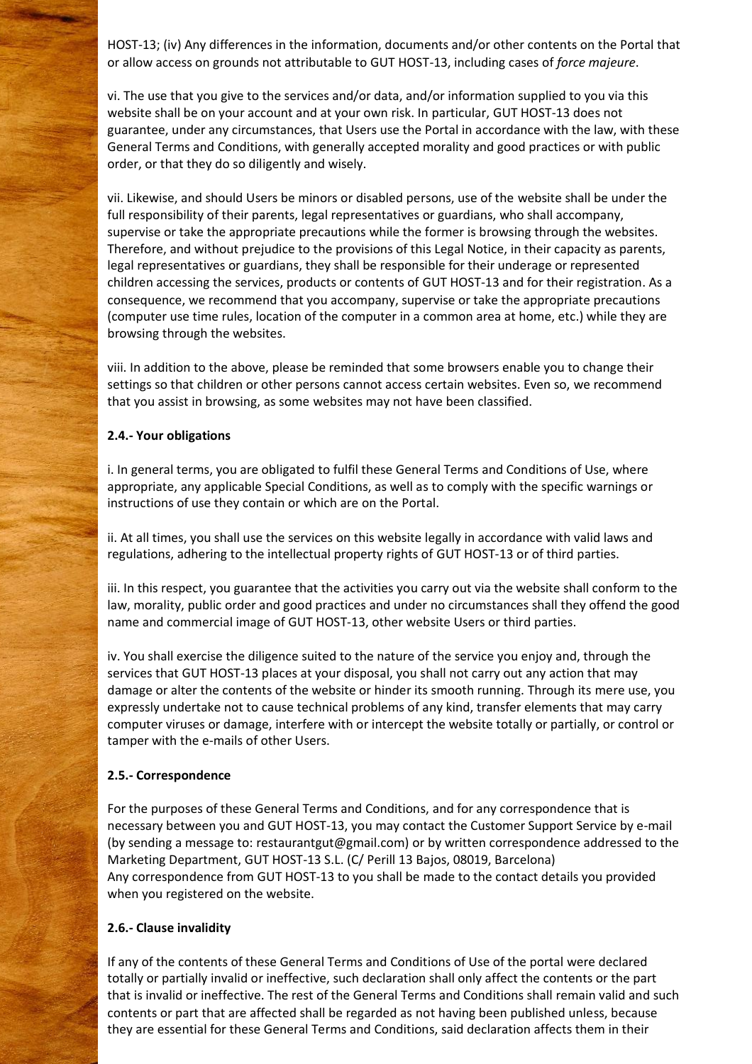HOST-13; (iv) Any differences in the information, documents and/or other contents on the Portal that or allow access on grounds not attributable to GUT HOST-13, including cases of *force majeure*.

vi. The use that you give to the services and/or data, and/or information supplied to you via this website shall be on your account and at your own risk. In particular, GUT HOST-13 does not guarantee, under any circumstances, that Users use the Portal in accordance with the law, with these General Terms and Conditions, with generally accepted morality and good practices or with public order, or that they do so diligently and wisely.

vii. Likewise, and should Users be minors or disabled persons, use of the website shall be under the full responsibility of their parents, legal representatives or guardians, who shall accompany, supervise or take the appropriate precautions while the former is browsing through the websites. Therefore, and without prejudice to the provisions of this Legal Notice, in their capacity as parents, legal representatives or guardians, they shall be responsible for their underage or represented children accessing the services, products or contents of GUT HOST-13 and for their registration. As a consequence, we recommend that you accompany, supervise or take the appropriate precautions (computer use time rules, location of the computer in a common area at home, etc.) while they are browsing through the websites.

viii. In addition to the above, please be reminded that some browsers enable you to change their settings so that children or other persons cannot access certain websites. Even so, we recommend that you assist in browsing, as some websites may not have been classified.

## **2.4.- Your obligations**

i. In general terms, you are obligated to fulfil these General Terms and Conditions of Use, where appropriate, any applicable Special Conditions, as well as to comply with the specific warnings or instructions of use they contain or which are on the Portal.

ii. At all times, you shall use the services on this website legally in accordance with valid laws and regulations, adhering to the intellectual property rights of GUT HOST-13 or of third parties.

iii. In this respect, you guarantee that the activities you carry out via the website shall conform to the law, morality, public order and good practices and under no circumstances shall they offend the good name and commercial image of GUT HOST-13, other website Users or third parties.

iv. You shall exercise the diligence suited to the nature of the service you enjoy and, through the services that GUT HOST-13 places at your disposal, you shall not carry out any action that may damage or alter the contents of the website or hinder its smooth running. Through its mere use, you expressly undertake not to cause technical problems of any kind, transfer elements that may carry computer viruses or damage, interfere with or intercept the website totally or partially, or control or tamper with the e-mails of other Users.

## **2.5.- Correspondence**

For the purposes of these General Terms and Conditions, and for any correspondence that is necessary between you and GUT HOST-13, you may contact the Customer Support Service by e-mail (by sending a message to: restaurantgut@gmail.com) or by written correspondence addressed to the Marketing Department, GUT HOST-13 S.L. (C/ Perill 13 Bajos, 08019, Barcelona) Any correspondence from GUT HOST-13 to you shall be made to the contact details you provided when you registered on the website.

## **2.6.- Clause invalidity**

If any of the contents of these General Terms and Conditions of Use of the portal were declared totally or partially invalid or ineffective, such declaration shall only affect the contents or the part that is invalid or ineffective. The rest of the General Terms and Conditions shall remain valid and such contents or part that are affected shall be regarded as not having been published unless, because they are essential for these General Terms and Conditions, said declaration affects them in their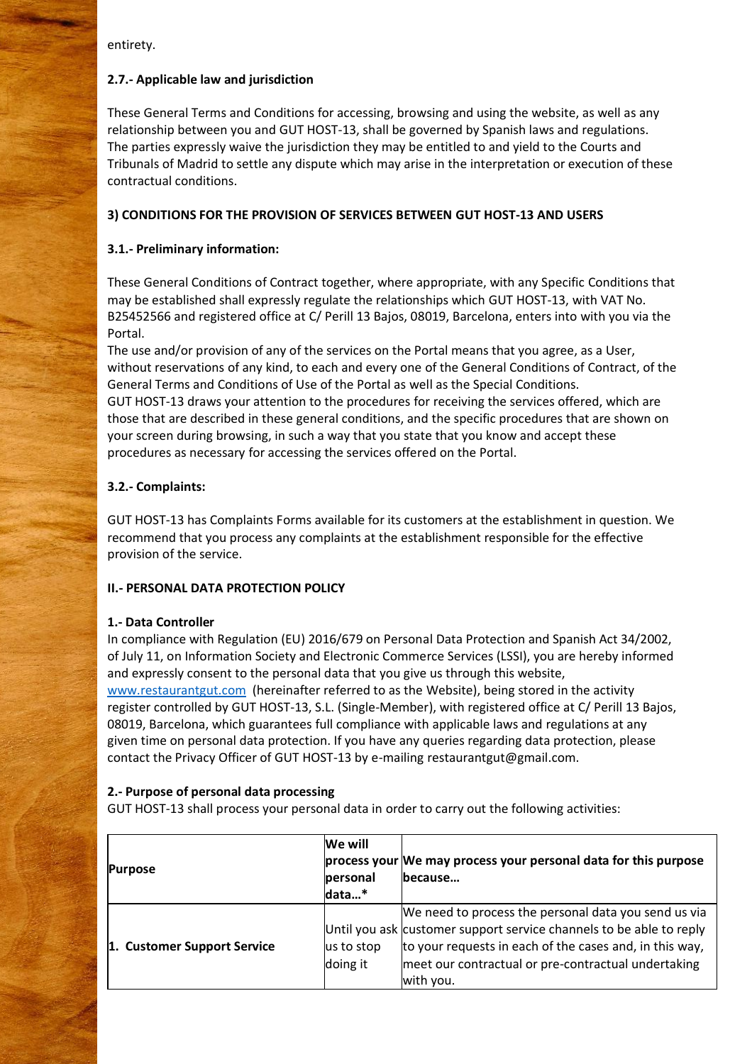entirety.

# **2.7.- Applicable law and jurisdiction**

These General Terms and Conditions for accessing, browsing and using the website, as well as any relationship between you and GUT HOST-13, shall be governed by Spanish laws and regulations. The parties expressly waive the jurisdiction they may be entitled to and yield to the Courts and Tribunals of Madrid to settle any dispute which may arise in the interpretation or execution of these contractual conditions.

# **3) CONDITIONS FOR THE PROVISION OF SERVICES BETWEEN GUT HOST-13 AND USERS**

# **3.1.- Preliminary information:**

These General Conditions of Contract together, where appropriate, with any Specific Conditions that may be established shall expressly regulate the relationships which GUT HOST-13, with VAT No. B25452566 and registered office at C/ Perill 13 Bajos, 08019, Barcelona, enters into with you via the Portal.

The use and/or provision of any of the services on the Portal means that you agree, as a User, without reservations of any kind, to each and every one of the General Conditions of Contract, of the General Terms and Conditions of Use of the Portal as well as the Special Conditions.

GUT HOST-13 draws your attention to the procedures for receiving the services offered, which are those that are described in these general conditions, and the specific procedures that are shown on your screen during browsing, in such a way that you state that you know and accept these procedures as necessary for accessing the services offered on the Portal.

# **3.2.- Complaints:**

GUT HOST-13 has Complaints Forms available for its customers at the establishment in question. We recommend that you process any complaints at the establishment responsible for the effective provision of the service.

## **II.- PERSONAL DATA PROTECTION POLICY**

## **1.- Data Controller**

In compliance with Regulation (EU) 2016/679 on Personal Data Protection and Spanish Act 34/2002, of July 11, on Information Society and Electronic Commerce Services (LSSI), you are hereby informed and expressly consent to the personal data that you give us through this website, [www.restaurantgut.com](http://www.restaurantgut.com/) (hereinafter referred to as the Website), being stored in the activity register controlled by GUT HOST-13, S.L. (Single-Member), with registered office at C/ Perill 13 Bajos, 08019, Barcelona, which guarantees full compliance with applicable laws and regulations at any given time on personal data protection. If you have any queries regarding data protection, please contact the Privacy Officer of GUT HOST-13 by e-mailing restaurantgut@gmail.com.

## **2.- Purpose of personal data processing**

GUT HOST-13 shall process your personal data in order to carry out the following activities:

| <b>Purpose</b>              | We will<br>personal<br>ldata* | process your We may process your personal data for this purpose<br>lbecause                                                                                                                                                                                |
|-----------------------------|-------------------------------|------------------------------------------------------------------------------------------------------------------------------------------------------------------------------------------------------------------------------------------------------------|
| 1. Customer Support Service | us to stop<br>doing it        | We need to process the personal data you send us via<br>Until you ask customer support service channels to be able to reply<br>to your requests in each of the cases and, in this way,<br>meet our contractual or pre-contractual undertaking<br>with you. |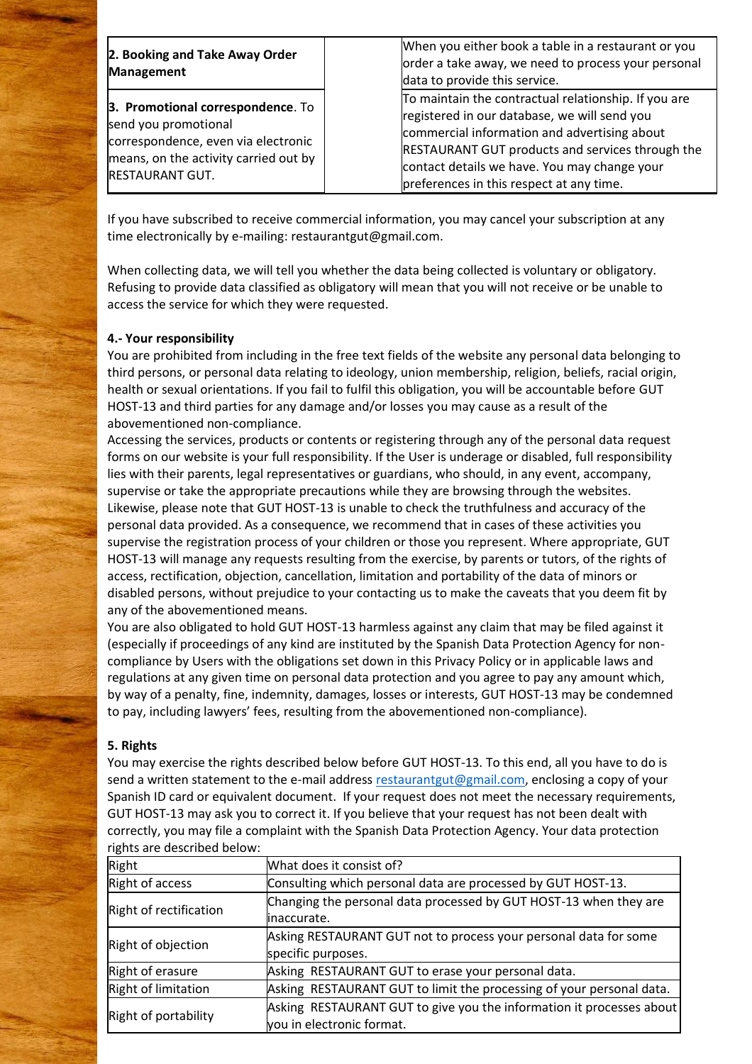| 2. Booking and Take Away Order<br>Management                                                                                                                        | When you either book a table in a restaurant or you<br>order a take away, we need to process your personal<br>data to provide this service.                                                                                                                                                          |
|---------------------------------------------------------------------------------------------------------------------------------------------------------------------|------------------------------------------------------------------------------------------------------------------------------------------------------------------------------------------------------------------------------------------------------------------------------------------------------|
| 3. Promotional correspondence. To<br>send you promotional<br>correspondence, even via electronic<br>means, on the activity carried out by<br><b>RESTAURANT GUT.</b> | To maintain the contractual relationship. If you are<br>registered in our database, we will send you<br>commercial information and advertising about<br>RESTAURANT GUT products and services through the<br>contact details we have. You may change your<br>preferences in this respect at any time. |

If you have subscribed to receive commercial information, you may cancel your subscription at any time electronically by e-mailing: restaurantgut@gmail.com.

When collecting data, we will tell you whether the data being collected is voluntary or obligatory. Refusing to provide data classified as obligatory will mean that you will not receive or be unable to access the service for which they were requested.

### **4.- Your responsibility**

You are prohibited from including in the free text fields of the website any personal data belonging to third persons, or personal data relating to ideology, union membership, religion, beliefs, racial origin, health or sexual orientations. If you fail to fulfil this obligation, you will be accountable before GUT HOST-13 and third parties for any damage and/or losses you may cause as a result of the abovementioned non-compliance.

Accessing the services, products or contents or registering through any of the personal data request forms on our website is your full responsibility. If the User is underage or disabled, full responsibility lies with their parents, legal representatives or guardians, who should, in any event, accompany, supervise or take the appropriate precautions while they are browsing through the websites. Likewise, please note that GUT HOST-13 is unable to check the truthfulness and accuracy of the personal data provided. As a consequence, we recommend that in cases of these activities you supervise the registration process of your children or those you represent. Where appropriate, GUT HOST-13 will manage any requests resulting from the exercise, by parents or tutors, of the rights of access, rectification, objection, cancellation, limitation and portability of the data of minors or disabled persons, without prejudice to your contacting us to make the caveats that you deem fit by any of the abovementioned means.

You are also obligated to hold GUT HOST-13 harmless against any claim that may be filed against it (especially if proceedings of any kind are instituted by the Spanish Data Protection Agency for noncompliance by Users with the obligations set down in this Privacy Policy or in applicable laws and regulations at any given time on personal data protection and you agree to pay any amount which, by way of a penalty, fine, indemnity, damages, losses or interests, GUT HOST-13 may be condemned to pay, including lawyers' fees, resulting from the abovementioned non-compliance).

## **5. Rights**

You may exercise the rights described below before GUT HOST-13. To this end, all you have to do is send a written statement to the e-mail address [restaurantgut@gmail.com,](mailto:cliente@latagliatella.com) enclosing a copy of your Spanish ID card or equivalent document. If your request does not meet the necessary requirements, GUT HOST-13 may ask you to correct it. If you believe that your request has not been dealt with correctly, you may file a complaint with the Spanish Data Protection Agency. Your data protection rights are described below:

| Right                  | What does it consist of?                                             |
|------------------------|----------------------------------------------------------------------|
| Right of access        | Consulting which personal data are processed by GUT HOST-13.         |
| Right of rectification | Changing the personal data processed by GUT HOST-13 when they are    |
|                        | linaccurate.                                                         |
| Right of objection     | Asking RESTAURANT GUT not to process your personal data for some     |
|                        | specific purposes.                                                   |
| Right of erasure       | Asking RESTAURANT GUT to erase your personal data.                   |
| Right of limitation    | Asking RESTAURANT GUT to limit the processing of your personal data. |
| Right of portability   | Asking RESTAURANT GUT to give you the information it processes about |
|                        | you in electronic format.                                            |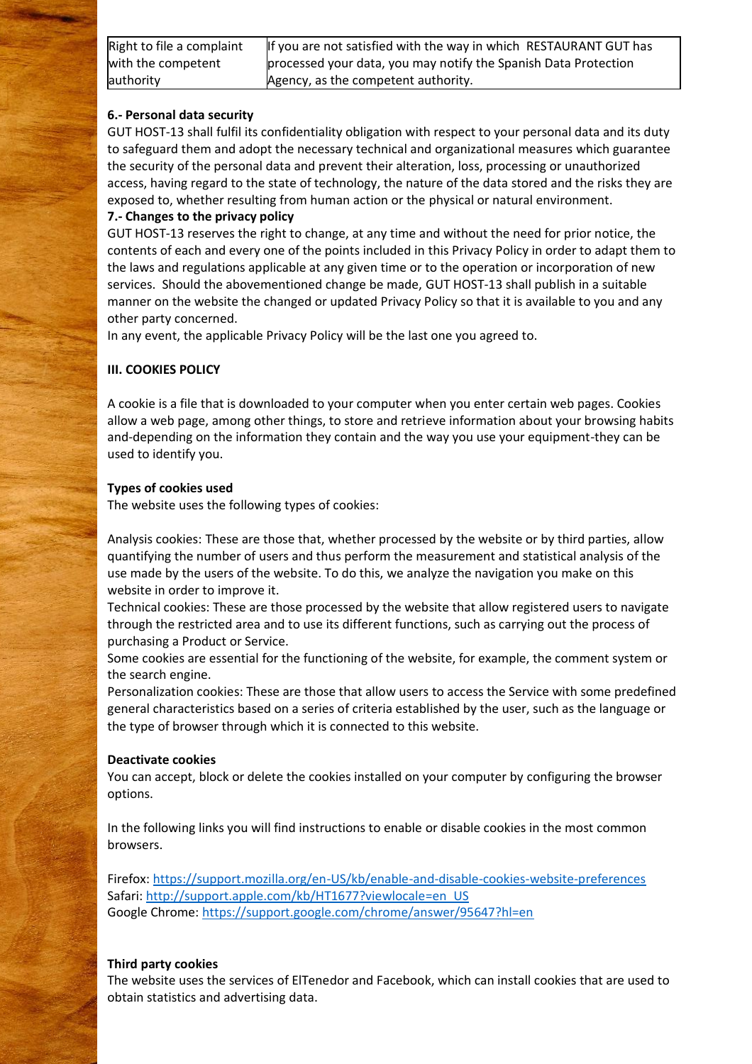| Right to file a complaint | If you are not satisfied with the way in which RESTAURANT GUT has |
|---------------------------|-------------------------------------------------------------------|
| with the competent        | processed your data, you may notify the Spanish Data Protection   |
| authority                 | Agency, as the competent authority.                               |

## **6.- Personal data security**

GUT HOST-13 shall fulfil its confidentiality obligation with respect to your personal data and its duty to safeguard them and adopt the necessary technical and organizational measures which guarantee the security of the personal data and prevent their alteration, loss, processing or unauthorized access, having regard to the state of technology, the nature of the data stored and the risks they are exposed to, whether resulting from human action or the physical or natural environment.

### **7.- Changes to the privacy policy**

GUT HOST-13 reserves the right to change, at any time and without the need for prior notice, the contents of each and every one of the points included in this Privacy Policy in order to adapt them to the laws and regulations applicable at any given time or to the operation or incorporation of new services. Should the abovementioned change be made, GUT HOST-13 shall publish in a suitable manner on the website the changed or updated Privacy Policy so that it is available to you and any other party concerned.

In any event, the applicable Privacy Policy will be the last one you agreed to.

## **III. COOKIES POLICY**

A cookie is a file that is downloaded to your computer when you enter certain web pages. Cookies allow a web page, among other things, to store and retrieve information about your browsing habits and-depending on the information they contain and the way you use your equipment-they can be used to identify you.

### **Types of cookies used**

The website uses the following types of cookies:

Analysis cookies: These are those that, whether processed by the website or by third parties, allow quantifying the number of users and thus perform the measurement and statistical analysis of the use made by the users of the website. To do this, we analyze the navigation you make on this website in order to improve it.

Technical cookies: These are those processed by the website that allow registered users to navigate through the restricted area and to use its different functions, such as carrying out the process of purchasing a Product or Service.

Some cookies are essential for the functioning of the website, for example, the comment system or the search engine.

Personalization cookies: These are those that allow users to access the Service with some predefined general characteristics based on a series of criteria established by the user, such as the language or the type of browser through which it is connected to this website.

### **Deactivate cookies**

You can accept, block or delete the cookies installed on your computer by configuring the browser options.

In the following links you will find instructions to enable or disable cookies in the most common browsers.

Firefox:<https://support.mozilla.org/en-US/kb/enable-and-disable-cookies-website-preferences> Safari: [http://support.apple.com/kb/HT1677?viewlocale=en\\_US](http://support.apple.com/kb/HT1677?viewlocale=en_US) Google Chrome:<https://support.google.com/chrome/answer/95647?hl=en>

## **Third party cookies**

The website uses the services of ElTenedor and Facebook, which can install cookies that are used to obtain statistics and advertising data.